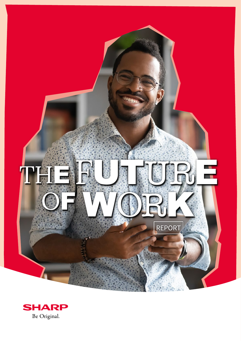

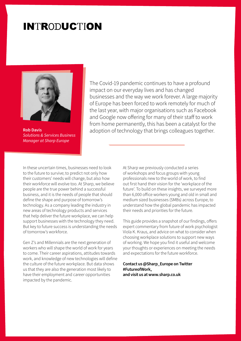### **INTRODUCTION**



**Rob Davis** *Solutions & Services Business Manager at Sharp Europe*

The Covid-19 pandemic continues to have a profound impact on our everyday lives and has changed businesses and the way we work forever. A large majority of Europe has been forced to work remotely for much of the last year, with major organisations such as Facebook and Google now offering for many of their staff to work from home permanently, this has been a catalyst for the adoption of technology that brings colleagues together.

In these uncertain times, businesses need to look to the future to survive; to predict not only how their customers' needs will change, but also how their workforce will evolve too. At Sharp, we believe people are the true power behind a successful business, and it is the needs of people that should define the shape and purpose of tomorrow's technology. As a company leading the industry in new areas of technology products and services that help deliver the future workplace, we can help support businesses with the technology they need. But key to future success is understanding the needs of tomorrow's workforce.

Gen Z's and Millennials are the next generation of workers who will shape the world of work for years to come. Their career aspirations, attitudes towards work, and knowledge of new technologies will define the culture of the future workplace. But data shows us that they are also the generation most likely to have their employment and career opportunities impacted by the pandemic.

At Sharp we previously conducted a series of workshops and focus groups with young professionals new to the world of work, to find out first hand their vision for the 'workplace of the future'. To build on these insights, we surveyed more than 6,000 office workers young and old in small and medium sized businesses (SMBs) across Europe, to understand how the global pandemic has impacted their needs and priorities for the future.

This guide provides a snapshot of our findings, offers expert commentary from future of work psychologist Viola K. Kraus, and advice on what to consider when choosing workplace solutions to support new ways of working. We hope you find it useful and welcome your thoughts or experiences on meeting the needs and expectations for the future workforce.

#### **Contact us @Sharp\_Europe on Twitter #FutureofWork, and visit us at www.sharp.co.uk**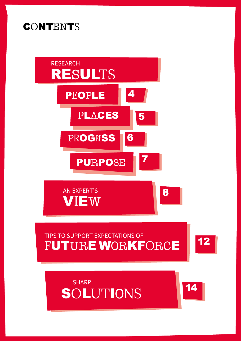



12 [12](#page-11-0)

14 [14](#page-13-0)



### **CONTENTS**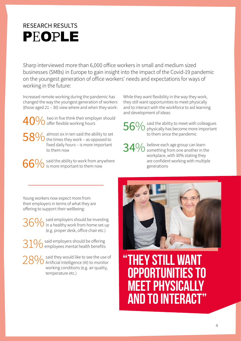### <span id="page-3-0"></span>RESEARCH RESULTS PEOPLE

Sharp interviewed more than 6,000 office workers in small and medium sized businesses (SMBs) in Europe to gain insight into the impact of the Covid-19 pandemic on the youngest generation of office workers' needs and expectations for ways of working in the future:

Increased remote working during the pandemic has changed the way the youngest generation of workers (those aged 21 – 30) view where and when they work:

 $40\%$  two in five think their employer should offer flexible working hours

 $58\%$  almost six in ten said the ability to set the times they work – as opposed to fixed daily hours – is more important to them now

 $66\%$  said the ability to work from anywhere is more important to them now

While they want flexibility in the way they work, they still want opportunities to meet physically and to interact with the workforce to aid learning and development of ideas:

56% said the ability to meet with colleagues<br>56% physically has become more important physically has become more important to them since the pandemic

34% believe each age group can learn<br>34% something from one another in the workplace, with 30% stating they are confident working with multiple generations

Young workers now expect more from their employers in terms of what they are offering to support their wellbeing:

 $36\%$  said employers should be investing<br>in a healthy work from home set-up in a healthy work from home set-up (e.g. proper desk, office chair etc.)

 $31\%$  said employers should be offering<br> $81\%$  employees mental health benefits

28% said they would like to see the use of<br>28% Artificial Intelligence (AI) to monitor working conditions (e.g. air quality, temperature etc.)



**"THEY STILL WANT OPPORTUNITIES TO MEET PHYSICALLY AND TO INTERACT"**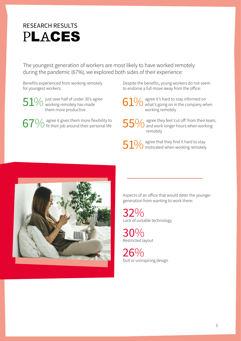### <span id="page-4-0"></span>RESEARCH RESULTS PLACES

The youngest generation of workers are most likely to have worked remotely during the pandemic (67%), we explored both sides of their experience:

Benefits experienced from working remotely for youngest workers:

 $51\%$  just over half of under 30's agree<br>them more productive them more productive

 $67\%$  agree it gives them more flexibility to fit their job around their personal life

Despite the benefits, young workers do not seem to endorse a full move away from the office:

 $61\%$  agree it's hard to stay informed on<br>  $61\%$  what's going on in the company when working remotely

55% agree they feel 'cut off' from their team,<br>
55% and work longer hours when working remotely

 $51\%$  agree that they find it hard to stay<br>by motivated when working remotely



Aspects of an office that would deter the younger generation from wanting to work there:

32% Lack of suitable technology

30% Restricted layout

26% Dull or uninspiring design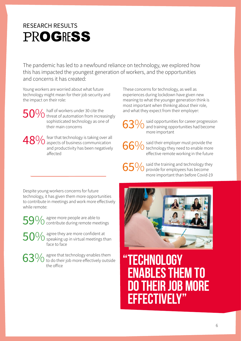## <span id="page-5-0"></span>RESEARCH RESULTS **PROGRESS**

The pandemic has led to a newfound reliance on technology, we explored how this has impacted the youngest generation of workers, and the opportunities and concerns it has created:

Young workers are worried about what future technology might mean for their job security and the impact on their role:

50% half of workers under 30 cite the<br>50% threat of automation from increasingly sophisticated technology as one of their main concerns

48% fear that technology is taking over all aspects of business communication and productivity has been negatively affected

These concerns for technology, as well as experiences during lockdown have given new meaning to what the younger generation think is most important when thinking about their role, and what they expect from their employer:

said opportunities for career progression and training opportunities had become more important

66% said their employer must provide the<br>66% technology they need to enable more effective remote working in the future

65% said the training and technology they<br>65% provide for employees has become more important than before Covid-19

Despite young workers concerns for future technology, it has given them more opportunities to contribute in meetings and work more effectively while remote:

59% agree more people are able to<br>59% contribute during remote meetings

 $50\%$  agree they are more confident at speaking up in virtual meetings than face to face

 $63\%$  agree that technology enables them<br> $63\%$  to do their job more effectively outside the office



**"TECHNOLOGY ENABLES THEM TO DO THEIR JOB MORE EFFECTIVELY"**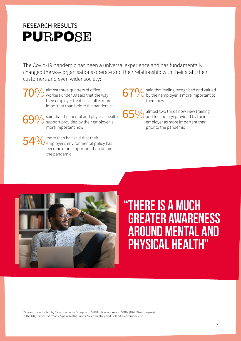### <span id="page-6-0"></span>RESEARCH RESULTS PURPOSE

The Covid-19 pandemic has been a universal experience and has fundamentally changed the way organisations operate and their relationship with their staff, their customers and even wider society:

70% almost three quarters of office<br>TO workers under 30 said that the way their employer treats its staff is more important than before the pandemic

> said that the mental and physical health  $\bigcup$  support provided by their employer is more important now

 $54\%$  more than half said that their employer's environmental policy has become more important than before the pandemic

67% said that feeling recognised and valued<br>67% by their employer is more important to them now

65% almost two thirds now view training<br>65% and technology provided by their employer as more important than prior to the pandemic



## **"There is a much greater awareness around mental and physical health"**

Research conducted by Censuswide for Sharp with 6,018 office workers in SMBs (10-250 employees) in the UK, France, Germany, Spain, Netherlands, Sweden, Italy and Poland. September 2020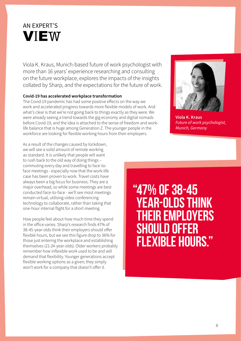<span id="page-7-0"></span>

Viola K. Kraus, Munich-based future of work psychologist with more than 16 years' experience researching and consulting on the future workplace, explores the impacts of the insights collated by Sharp, and the expectations for the future of work.

### **Covid-19 has accelerated workplace transformation**

The Covid-19 pandemic has had some positive effects on the way we work and accelerated progress towards more flexible models of work. And what's clear is that we're not going back to things exactly as they were. We were already seeing a trend towards the gig economy and digital nomads before Covid-19, and the idea is attached to the sense of freedom and worklife balance that is huge among Generation Z. The younger people in the workforce are looking for flexible working hours from their employers.

As a result of the changes caused by lockdown, we will see a solid amount of remote working as standard. It is unlikely that people will want to rush back to the old way of doing things – commuting every day and travelling to face-toface meetings - especially now that the work-life case has been proven to work. Travel costs have always been a big focus for business. They are a major overhead, so while some meetings are best conducted face-to-face - we'll see most meetings remain virtual, utilising video conferencing technology to collaborate, rather than taking that one-hour internal flight for a short meeting.

How people feel about how much time they spend in the office varies. Sharp's research finds 47% of 38-45-year-olds think their employers should offer flexible hours, but we see this figure drop to 36% for those just entering the workplace and establishing themselves (21-24-year-olds). Older workers probably remember how inflexible work used to be and will demand that flexibility. Younger generations accept flexible working options as a given; they simply won't work for a company that doesn't offer it.



**Viola K. Kraus** *Future of work psychologist, Munich, Germany*

## **"47% of 38-45 year-olds think their employers should offer flexible hours."**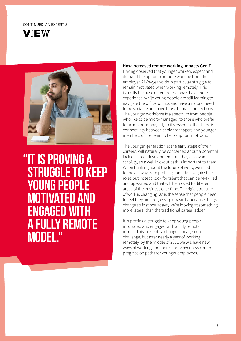#### CONTINUED: AN EXPERT'S





## **"It is proving a struggle to keep young people motivated and engaged with a fully remote model."**

#### **How increased remote working impacts Gen Z**

Having observed that younger workers expect and demand the option of remote working from their employer, 21-24-year-olds in particular struggle to remain motivated when working remotely. This is partly because older professionals have more experience, while young people are still learning to navigate the office politics and have a natural need to be sociable and have those human connections. The younger workforce is a spectrum from people who like to be micro-managed, to those who prefer to be macro-managed, so it's essential that there is connectivity between senior managers and younger members of the team to help support motivation.

The younger generation at the early stage of their careers, will naturally be concerned about a potential lack of career development, but they also want stability, so a well laid-out path is important to them. When thinking about the future of work, we need to move away from profiling candidates against job roles but instead look for talent that can be re-skilled and up-skilled and that will be moved to different areas of the business over time. The rigid structure of work is changing, as is the sense that people need to feel they are progressing upwards, because things change so fast nowadays, we're looking at something more lateral than the traditional career ladder.

It is proving a struggle to keep young people motivated and engaged with a fully remote model. This presents a change management challenge, but after nearly a year of working remotely, by the middle of 2021 we will have new ways of working and more clarity over new career progression paths for younger employees.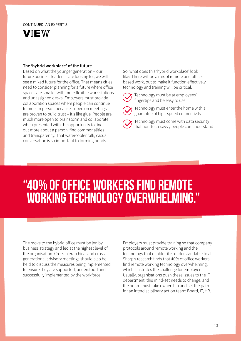#### CONTINUED: AN EXPERT'S



#### **The 'hybrid workplace' of the future**

Based on what the younger generation – our future business leaders – are looking for, we will see a mixed future for the office. That means cities need to consider planning for a future where office spaces are smaller with more flexible work stations and unassigned desks. Employers must provide collaboration spaces where people can continue to meet in person because in-person meetings are proven to build trust – it's like glue. People are much more open to brainstorm and collaborate when presented with the opportunity to find out more about a person, find commonalities and transparency. That watercooler talk, casual conversation is so important to forming bonds.

So, what does this 'hybrid workplace' look like? There will be a mix of remote and officebased work, but to make it function effectively, technology and training will be critical:



Technology must be at employees' fingertips and be easy to use



Technology must enter the home with a guarantee of high-speed connectivity

Technology must come with data security that non-tech-savvy people can understand

## **"40% of office workers find remote working technology overwhelming."**

The move to the hybrid office must be led by business strategy and led at the highest level of the organisation. Cross-hierarchical and cross generational advisory meetings should also be held to discuss the measures being implemented to ensure they are supported, understood and successfully implemented by the workforce.

Employers must provide training so that company protocols around remote working and the technology that enables it is understandable to all. Sharp's research finds that 40% of office workers find remote working technology overwhelming, which illustrates the challenge for employers. Usually, organisations push these issues to the IT department; this mind-set needs to change, and the board must take ownership and set the path for an interdisciplinary action team: Board, IT, HR.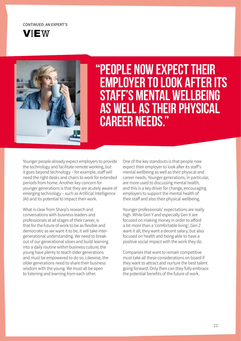### CONTINUED: AN EXPERT'S





## **"People now expect their employer to look after its staff's mental wellbeing as well as their physical career needs."**

Younger people already expect employers to provide the technology and facilitate remote working, but it goes beyond technology – for example, staff will need the right desks and chairs to work for extended periods from home. Another key concern for younger generations is that they are acutely aware of emerging technology – such as Artificial Intelligence (AI) and its potential to impact their work.

What is clear from Sharp's research and conversations with business leaders and professionals at all stages of their career, is that for the future of work to be as flexible and democratic as we want it to be, it will take intergenerational understanding. We need to break out of our generational siloes and build learning into a daily routine within business culture; the young have plenty to teach older generations and must be empowered to do so. Likewise, the older generations need to share their business wisdom with the young. We must all be open to listening and learning from each other.

One of the key standouts is that people now expect their employer to look after its staff's mental wellbeing as well as their physical and career needs. Younger generations, in particular, are more used to discussing mental health, and this is a key driver for change, encouraging employers to support the mental health of their staff and also their physical wellbeing.

Younger professionals' expectations are really high. While Gen Y and especially Gen X are focused on making money in order to afford a bit more than a 'comfortable living', Gen Z want it all; they want a decent salary, but also focused on health and being able to have a positive social impact with the work they do.

Companies that want to remain competitive must take all these considerations on board if they want to attract and nurture the best talent going forward. Only then can they fully embrace the potential benefits of the future of work.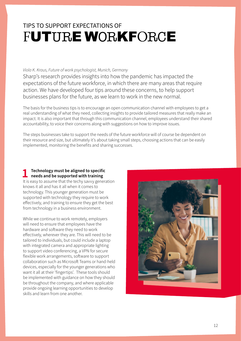### <span id="page-11-0"></span>TIPS TO SUPPORT EXPECTATIONS OF FUTURE WORKFORCE

### *Viola K. Kraus, Future of work psychologist, Munich, Germany*

Sharp's research provides insights into how the pandemic has impacted the expectations of the future workforce, in which there are many areas that require action. We have developed four tips around these concerns, to help support businesses plans for the future, as we learn to work in the new normal.

The basis for the business tips is to encourage an open communication channel with employees to get a real understanding of what they need, collecting insights to provide tailored measures that really make an impact. It is also important that through this communication channel, employees understand their shared accountability, to voice their concerns along with suggestions on how to improve issues.

The steps businesses take to support the needs of the future workforce will of course be dependent on their resource and size, but ultimately it's about taking small steps, choosing actions that can be easily implemented, monitoring the benefits and sharing successes.

# **1 Technology must be aligned to specific needs and be supported with training**

It is easy to assume that the techy savvy generation knows it all and has it all when it comes to technology. This younger generation must be supported with technology they require to work effectively, and training to ensure they get the best from technology in a business environment.

While we continue to work remotely, employers will need to ensure that employees have the hardware and software they need to work effectively, wherever they are. This will need to be tailored to individuals, but could include a laptop with integrated camera and appropriate lighting to support video conferencing, a VPN for secure flexible work arrangements, software to support collaboration such as Microsoft Teams or hand-held devices, especially for the younger generations who want it all at their 'fingertips'. These tools should be implemented with guidance on how they should be throughout the company, and where applicable provide ongoing learning opportunities to develop skills and learn from one another.

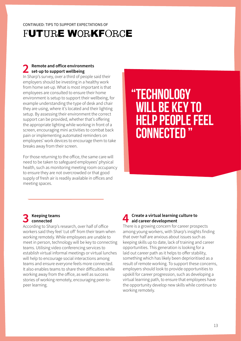### FUTURE WORKFORCE

### **2 Remote and office environments set-up to support wellbeing**

In Sharp's survey, over a third of people said their employers should be investing in a healthy work from home set-up. What is most important is that employees are consulted to ensure their home environment is setup to support their wellbeing, for example understanding the type of desk and chair they are using, where it's located and their lighting setup. By assessing their environment the correct support can be provided, whether that's offering the appropriate lighting while working in front of a screen, encouraging mini activities to combat back pain or implementing automated reminders on employees' work devices to encourage them to take breaks away from their screen.

For those returning to the office, the same care will need to be taken to safeguard employees' physical health, such as monitoring meeting room occupancy to ensure they are not overcrowded or that good supply of fresh air is readily available in offices and meeting spaces.

## **"Technology will be key to help people feel connected "**

### **3 Keeping teams connected**

According to Sharp's research, over half of office workers said they feel 'cut off' from their team when working remotely. While employees are unable to meet in person, technology will be key to connecting teams. Utilising video conferencing services to establish virtual informal meetings or virtual lunches will help to encourage social interactions among teams and ensure everyone feels more connected. It also enables teams to share their difficulties while working away from the office, as well as success stories of working remotely, encouraging peer-topeer learning.

### **4 Create a virtual learning culture to aid career development**

There is a growing concern for career prospects among young workers, with Sharp's insights finding that over half are anxious about issues such as keeping skills up to date, lack of training and career opportunities. This generation is looking for a laid out career path as it helps to offer stability, something which has likely been deprioritised as a result of remote working. To support these concerns, employers should look to provide opportunities to upskill for career progression, such as developing a virtual learning path, to ensure that employees have the opportunity develop new skills while continue to working remotely.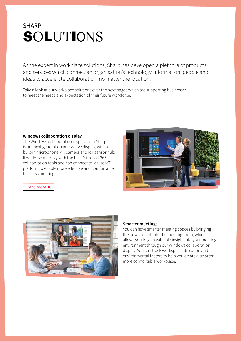### <span id="page-13-0"></span>**SHARP SOLUTIONS**

As the expert in workplace solutions, Sharp has developed a plethora of products and services which connect an organisation's technology, information, people and ideas to accelerate collaboration, no matter the location.

Take a look at our workplace solutions over the next pages which are supporting businesses to meet the needs and expectation of their future workforce:

### **Windows collaboration display**

The Windows collaboration display from Sharp is our next generation interactive display, with a built-in microphone, 4K camera and IoT sensor hub. It works seamlessly with the best Microsoft 365 collaboration tools and can connect to Azure IoT platform to enable more effective and comfortable business meetings.



[Read more](https://www.sharp.co.uk/cps/rde/xchg/gb/hs.xsl/-/html/windows-collaboration-display.htm)  $\blacktriangleright$ 



#### **Smarter meetings**

You can have smarter meeting spaces by bringing the power of IoT into the meeting room, which allows you to gain valuable insight into your meeting environment through our Windows collaboration display. You can track workspace utilisation and environmental factors to help you create a smarter, more comfortable workplace.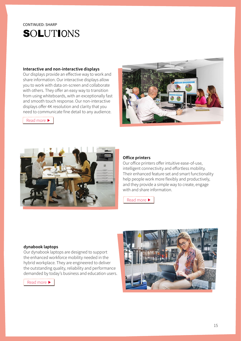### CONTINUED: SHARP **SOLUTIONS**

### **Interactive and non-interactive displays**

Our displays provide an effective way to work and share information. Our interactive displays allow you to work with data on-screen and collaborate with others. They offer an easy way to transition from using whiteboards, with an exceptionally fast and smooth touch response. Our non-interactive displays offer 4K resolution and clarity that you need to communicate fine detail to any audience.



[Read more](https://www.sharp.co.uk/cps/rde/xchg/gb/hs.xsl/-/html/visual-solutions.htm) ▶



### **Office printers**

Our office printers offer intuitive ease-of-use, intelligent connectivity and effortless mobility. Their enhanced feature set and smart functionality help people work more flexibly and productively, and they provide a simple way to create, engage with and share information.

[Read more](https://www.sharp.co.uk/cps/rde/xchg/gb/hs.xsl/-/html/office-printers.htm) ▶

#### **dynabook laptops**

Our dynabook laptops are designed to support the enhanced workforce mobility needed in the hybrid workplace. They are engineered to deliver the outstanding quality, reliability and performance demanded by today's business and education users.